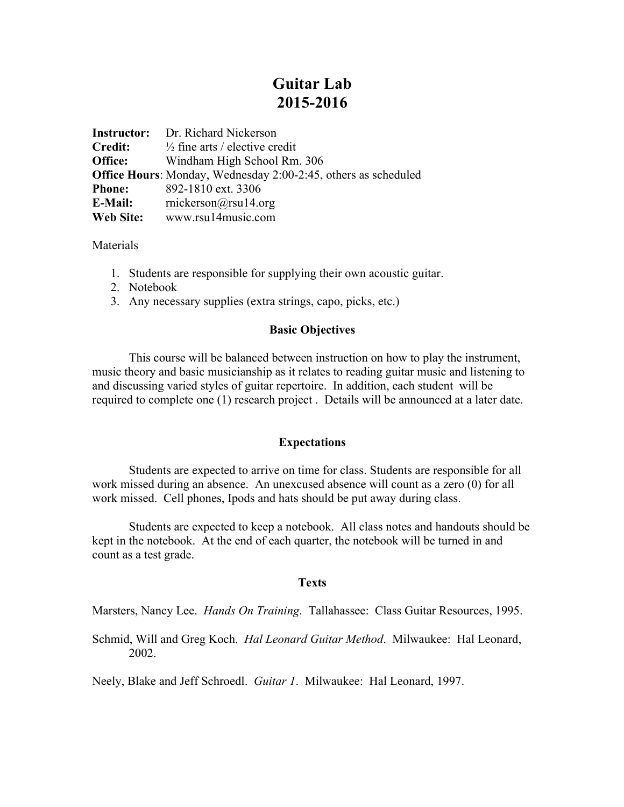# **Guitar Lab 2015-2016**

|               | <b>Instructor:</b> Dr. Richard Nickerson                              |
|---------------|-----------------------------------------------------------------------|
| Credit:       | $\frac{1}{2}$ fine arts / elective credit                             |
| Office:       | Windham High School Rm. 306                                           |
|               | <b>Office Hours:</b> Monday, Wednesday 2:00-2:45, others as scheduled |
| <b>Phone:</b> | 892-1810 ext. 3306                                                    |
| E-Mail:       | mickerson@rsu14.org                                                   |
| Web Site:     | www.rsu14music.com                                                    |

**Materials** 

- 1. Students are responsible for supplying their own acoustic guitar.
- 2. Notebook
- 3. Any necessary supplies (extra strings, capo, picks, etc.)

# **Basic Objectives**

This course will be balanced between instruction on how to play the instrument, music theory and basic musicianship as it relates to reading guitar music and listening to and discussing varied styles of guitar repertoire. In addition, each student will be required to complete one (1) research project . Details will be announced at a later date.

## **Expectations**

Students are expected to arrive on time for class. Students are responsible for all work missed during an absence. An unexcused absence will count as a zero (0) for all work missed. Cell phones, Ipods and hats should be put away during class.

Students are expected to keep a notebook. All class notes and handouts should be kept in the notebook. At the end of each quarter, the notebook will be turned in and count as a test grade.

## **Texts**

Marsters, Nancy Lee. *Hands On Training*. Tallahassee: Class Guitar Resources, 1995.

Schmid, Will and Greg Koch. *Hal Leonard Guitar Method*. Milwaukee: Hal Leonard, 2002.

Neely, Blake and Jeff Schroedl. *Guitar 1*. Milwaukee: Hal Leonard, 1997.